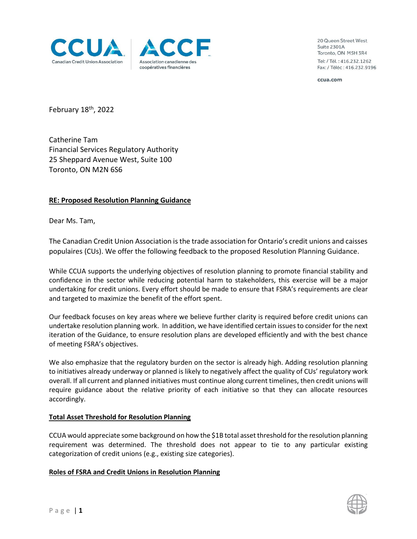



20 Queen Street West Suite 2301A Toronto, ON M5H 3R4 Tel: / Tél.: 416.232.1262 Fax: / Téléc: 416.232.9196

ccua.com

February 18<sup>th</sup>, 2022

Catherine Tam Financial Services Regulatory Authority 25 Sheppard Avenue West, Suite 100 Toronto, ON M2N 6S6

# **RE: Proposed Resolution Planning Guidance**

Dear Ms. Tam,

The Canadian Credit Union Association is the trade association for Ontario's credit unions and caisses populaires (CUs). We offer the following feedback to the proposed Resolution Planning Guidance.

While CCUA supports the underlying objectives of resolution planning to promote financial stability and confidence in the sector while reducing potential harm to stakeholders, this exercise will be a major undertaking for credit unions. Every effort should be made to ensure that FSRA's requirements are clear and targeted to maximize the benefit of the effort spent.

Our feedback focuses on key areas where we believe further clarity is required before credit unions can undertake resolution planning work. In addition, we have identified certain issuesto consider for the next iteration of the Guidance, to ensure resolution plans are developed efficiently and with the best chance of meeting FSRA's objectives.

We also emphasize that the regulatory burden on the sector is already high. Adding resolution planning to initiatives already underway or planned is likely to negatively affect the quality of CUs' regulatory work overall. If all current and planned initiatives must continue along current timelines, then credit unions will require guidance about the relative priority of each initiative so that they can allocate resources accordingly.

### **Total Asset Threshold for Resolution Planning**

CCUA would appreciate some background on how the \$1B total asset threshold for the resolution planning requirement was determined. The threshold does not appear to tie to any particular existing categorization of credit unions (e.g., existing size categories).

### **Roles of FSRA and Credit Unions in Resolution Planning**

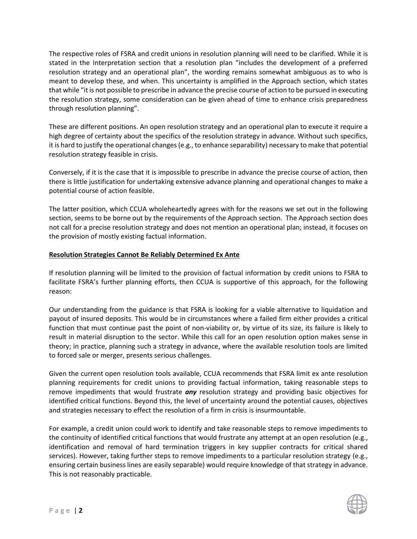The respective roles of FSRA and credit unions in resolution planning will need to be clarified. While it is stated in the Interpretation section that a resolution plan "includes the development of a preferred resolution strategy and an operational plan", the wording remains somewhat ambiguous as to who is meant to develop these, and when. This uncertainty is amplified in the Approach section, which states that while "it is not possible to prescribe in advance the precise course of action to be pursued in executing the resolution strategy, some consideration can be given ahead of time to enhance crisis preparedness through resolution planning".

These are different positions. An open resolution strategy and an operational plan to execute it require a high degree of certainty about the specifics of the resolution strategy in advance. Without such specifics, it is hard to justify the operational changes (e.g., to enhance separability) necessary to make that potential resolution strategy feasible in crisis.

Conversely, if it is the case that it is impossible to prescribe in advance the precise course of action, then there is little justification for undertaking extensive advance planning and operational changes to make a potential course of action feasible.

The latter position, which CCUA wholeheartedly agrees with for the reasons we set out in the following section, seems to be borne out by the requirements of the Approach section. The Approach section does not call for a precise resolution strategy and does not mention an operational plan; instead, it focuses on the provision of mostly existing factual information.

# **Resolution Strategies Cannot Be Reliably Determined Ex Ante**

If resolution planning will be limited to the provision of factual information by credit unions to FSRA to facilitate FSRA's further planning efforts, then CCUA is supportive of this approach, for the following reason:

Our understanding from the guidance is that FSRA is looking for a viable alternative to liquidation and payout of insured deposits. This would be in circumstances where a failed firm either provides a critical function that must continue past the point of non-viability or, by virtue of its size, its failure is likely to result in material disruption to the sector. While this call for an open resolution option makes sense in theory; in practice, planning such a strategy in advance, where the available resolution tools are limited to forced sale or merger, presents serious challenges.

Given the current open resolution tools available, CCUA recommends that FSRA limit ex ante resolution planning requirements for credit unions to providing factual information, taking reasonable steps to remove impediments that would frustrate *any* resolution strategy and providing basic objectives for identified critical functions. Beyond this, the level of uncertainty around the potential causes, objectives and strategies necessary to effect the resolution of a firm in crisis is insurmountable.

For example, a credit union could work to identify and take reasonable steps to remove impediments to the continuity of identified critical functions that would frustrate any attempt at an open resolution (e.g., identification and removal of hard termination triggers in key supplier contracts for critical shared services). However, taking further steps to remove impediments to a particular resolution strategy (e.g., ensuring certain business lines are easily separable) would require knowledge of that strategy in advance. This is not reasonably practicable.

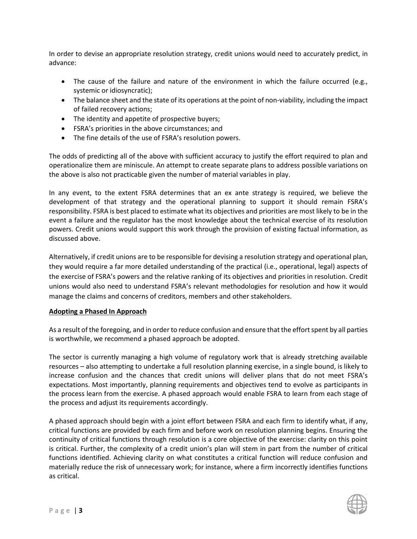In order to devise an appropriate resolution strategy, credit unions would need to accurately predict, in advance:

- The cause of the failure and nature of the environment in which the failure occurred (e.g., systemic or idiosyncratic);
- The balance sheet and the state of its operations at the point of non-viability, including the impact of failed recovery actions;
- The identity and appetite of prospective buyers;
- FSRA's priorities in the above circumstances; and
- The fine details of the use of FSRA's resolution powers.

The odds of predicting all of the above with sufficient accuracy to justify the effort required to plan and operationalize them are miniscule. An attempt to create separate plans to address possible variations on the above is also not practicable given the number of material variables in play.

In any event, to the extent FSRA determines that an ex ante strategy is required, we believe the development of that strategy and the operational planning to support it should remain FSRA's responsibility. FSRA is best placed to estimate what its objectives and priorities are most likely to be in the event a failure and the regulator has the most knowledge about the technical exercise of its resolution powers. Credit unions would support this work through the provision of existing factual information, as discussed above.

Alternatively, if credit unions are to be responsible for devising a resolution strategy and operational plan, they would require a far more detailed understanding of the practical (i.e., operational, legal) aspects of the exercise of FSRA's powers and the relative ranking of its objectives and priorities in resolution. Credit unions would also need to understand FSRA's relevant methodologies for resolution and how it would manage the claims and concerns of creditors, members and other stakeholders.

### **Adopting a Phased In Approach**

As a result of the foregoing, and in order to reduce confusion and ensure that the effort spent by all parties is worthwhile, we recommend a phased approach be adopted.

The sector is currently managing a high volume of regulatory work that is already stretching available resources – also attempting to undertake a full resolution planning exercise, in a single bound, is likely to increase confusion and the chances that credit unions will deliver plans that do not meet FSRA's expectations. Most importantly, planning requirements and objectives tend to evolve as participants in the process learn from the exercise. A phased approach would enable FSRA to learn from each stage of the process and adjust its requirements accordingly.

A phased approach should begin with a joint effort between FSRA and each firm to identify what, if any, critical functions are provided by each firm and before work on resolution planning begins. Ensuring the continuity of critical functions through resolution is a core objective of the exercise: clarity on this point is critical. Further, the complexity of a credit union's plan will stem in part from the number of critical functions identified. Achieving clarity on what constitutes a critical function will reduce confusion and materially reduce the risk of unnecessary work; for instance, where a firm incorrectly identifies functions as critical.

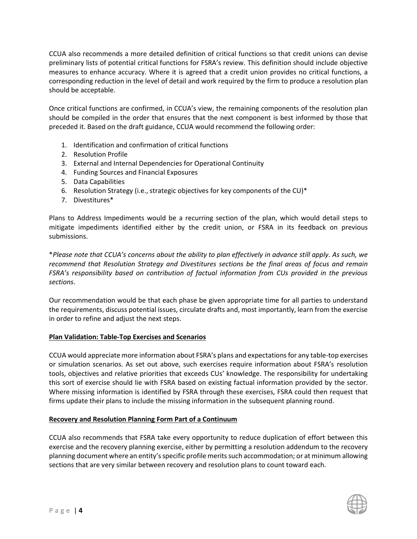CCUA also recommends a more detailed definition of critical functions so that credit unions can devise preliminary lists of potential critical functions for FSRA's review. This definition should include objective measures to enhance accuracy. Where it is agreed that a credit union provides no critical functions, a corresponding reduction in the level of detail and work required by the firm to produce a resolution plan should be acceptable.

Once critical functions are confirmed, in CCUA's view, the remaining components of the resolution plan should be compiled in the order that ensures that the next component is best informed by those that preceded it. Based on the draft guidance, CCUA would recommend the following order:

- 1. Identification and confirmation of critical functions
- 2. Resolution Profile
- 3. External and Internal Dependencies for Operational Continuity
- 4. Funding Sources and Financial Exposures
- 5. Data Capabilities
- 6. Resolution Strategy (i.e., strategic objectives for key components of the CU)\*
- 7. Divestitures\*

Plans to Address Impediments would be a recurring section of the plan, which would detail steps to mitigate impediments identified either by the credit union, or FSRA in its feedback on previous submissions.

\**Please note that CCUA's concerns about the ability to plan effectively in advance still apply. As such, we recommend that Resolution Strategy and Divestitures sections be the final areas of focus and remain FSRA's responsibility based on contribution of factual information from CUs provided in the previous sections*.

Our recommendation would be that each phase be given appropriate time for all parties to understand the requirements, discuss potential issues, circulate drafts and, most importantly, learn from the exercise in order to refine and adjust the next steps.

### **Plan Validation: Table-Top Exercises and Scenarios**

CCUA would appreciate more information about FSRA's plans and expectations for any table-top exercises or simulation scenarios. As set out above, such exercises require information about FSRA's resolution tools, objectives and relative priorities that exceeds CUs' knowledge. The responsibility for undertaking this sort of exercise should lie with FSRA based on existing factual information provided by the sector. Where missing information is identified by FSRA through these exercises, FSRA could then request that firms update their plans to include the missing information in the subsequent planning round.

### **Recovery and Resolution Planning Form Part of a Continuum**

CCUA also recommends that FSRA take every opportunity to reduce duplication of effort between this exercise and the recovery planning exercise, either by permitting a resolution addendum to the recovery planning document where an entity's specific profile merits such accommodation; or at minimum allowing sections that are very similar between recovery and resolution plans to count toward each.